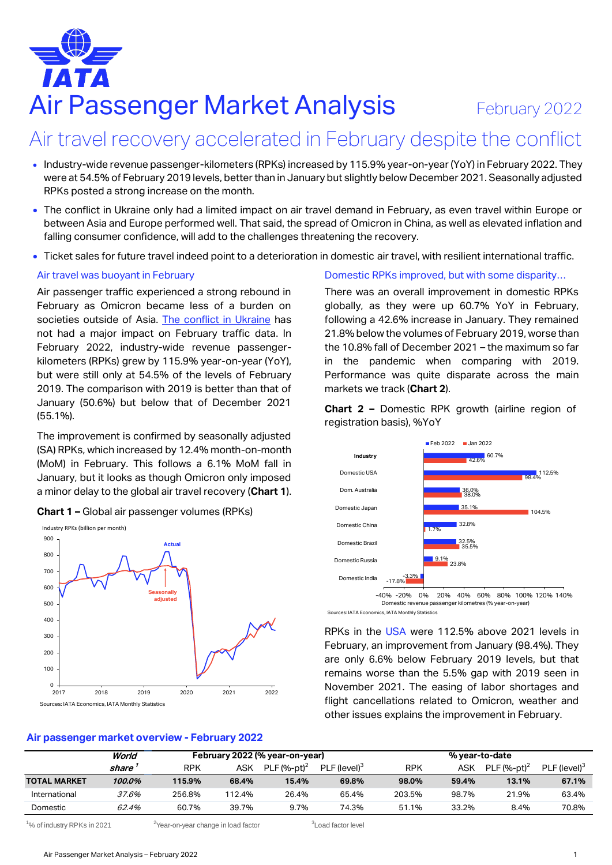# Air Passenger Market Analysis February 2022

## Air travel recovery accelerated in February despite the conflict

- Industry-wide revenue passenger-kilometers (RPKs) increased by 115.9% year-on-year (YoY) in February 2022. They were at 54.5% of February 2019 levels, better than in January but slightly below December 2021. Seasonally adjusted RPKs posted a strong increase on the month.
- The conflict in Ukraine only had a limited impact on air travel demand in February, as even travel within Europe or between Asia and Europe performed well. That said, the spread of Omicron in China, as well as elevated inflation and falling consumer confidence, will add to the challenges threatening the recovery.
- Ticket sales for future travel indeed point to a deterioration in domestic air travel, with resilient international traffic.

#### Air travel was buoyant in February

Air passenger traffic experienced a strong rebound in February as Omicron became less of a burden on societies outside of Asia. [The conflict in Ukraine](https://www.iata.org/en/iata-repository/publications/economic-reports/the-impact-of-the-conflict-between-russia-and-ukraine-on-aviation/) has not had a major impact on February traffic data. In February 2022, industry-wide revenue passengerkilometers (RPKs) grew by 115.9% year-on-year (YoY), but were still only at 54.5% of the levels of February 2019. The comparison with 2019 is better than that of January (50.6%) but below that of December 2021 (55.1%).

The improvement is confirmed by seasonally adjusted (SA) RPKs, which increased by 12.4% month-on-month (MoM) in February. This follows a 6.1% MoM fall in January, but it looks as though Omicron only imposed a minor delay to the global air travel recovery (**Chart 1**).



**Chart 1 –** Global air passenger volumes (RPKs)

#### Domestic RPKs improved, but with some disparity…

There was an overall improvement in domestic RPKs globally, as they were up 60.7% YoY in February, following a 42.6% increase in January. They remained 21.8% below the volumes of February 2019, worse than the 10.8% fall of December 2021 – the maximum so far in the pandemic when comparing with 2019. Performance was quite disparate across the main markets we track (**Chart 2**).

**Chart 2 –** Domestic RPK growth (airline region of registration basis), %YoY



Sources: IATA Economics, IATA Monthly Statistics

RPKs in the USA were 112.5% above 2021 levels in February, an improvement from January (98.4%). They are only 6.6% below February 2019 levels, but that remains worse than the 5.5% gap with 2019 seen in November 2021. The easing of labor shortages and flight cancellations related to Omicron, weather and other issues explains the improvement in February.

#### **Air passenger market overview - February 2022**

|                     | World  | February 2022 (% year-on-year) |        |                | % year-to-date           |            |       |                |                          |
|---------------------|--------|--------------------------------|--------|----------------|--------------------------|------------|-------|----------------|--------------------------|
|                     | share  | <b>RPK</b>                     | ASK    | PLF $(%-pt)^2$ | PLF (level) <sup>3</sup> | <b>RPK</b> | ASK   | PLF $(%-pt)^2$ | PLF (level) <sup>3</sup> |
| <b>TOTAL MARKET</b> | 100.0% | 115.9%                         | 68.4%  | 15.4%          | 69.8%                    | 98.0%      | 59.4% | 13.1%          | 67.1%                    |
| International       | 37.6%  | 256.8%                         | 112.4% | 26.4%          | 65.4%                    | 203.5%     | 98.7% | 21.9%          | 63.4%                    |
| Domestic            | 62.4%  | 60.7%                          | 39.7%  | 9.7%           | 74.3%                    | 51.1%      | 33.2% | 8.4%           | 70.8%                    |

 $1\%$  of industry RPKs in 2021  $2\%$   $\frac{2\%}{2\%}$  2Year-on-year change in load factor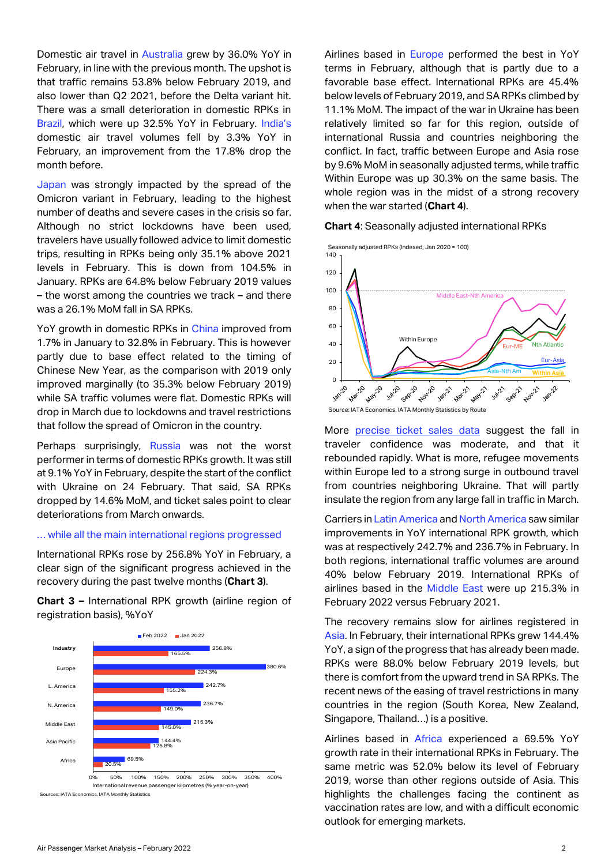Domestic air travel in Australia grew by 36.0% YoY in February, in line with the previous month. The upshot is that traffic remains 53.8% below February 2019, and also lower than Q2 2021, before the Delta variant hit. There was a small deterioration in domestic RPKs in Brazil, which were up 32.5% YoY in February. India's domestic air travel volumes fell by 3.3% YoY in February, an improvement from the 17.8% drop the month before.

Japan was strongly impacted by the spread of the Omicron variant in February, leading to the highest number of deaths and severe cases in the crisis so far. Although no strict lockdowns have been used, travelers have usually followed advice to limit domestic trips, resulting in RPKs being only 35.1% above 2021 levels in February. This is down from 104.5% in January. RPKs are 64.8% below February 2019 values – the worst among the countries we track – and there was a 26.1% MoM fall in SA RPKs.

YoY growth in domestic RPKs in China improved from 1.7% in January to 32.8% in February. This is however partly due to base effect related to the timing of Chinese New Year, as the comparison with 2019 only improved marginally (to 35.3% below February 2019) while SA traffic volumes were flat. Domestic RPKs will drop in March due to lockdowns and travel restrictions that follow the spread of Omicron in the country.

Perhaps surprisingly, Russia was not the worst performer in terms of domestic RPKs growth. It was still at 9.1% YoY in February, despite the start of the conflict with Ukraine on 24 February. That said, SA RPKs dropped by 14.6% MoM, and ticket sales point to clear deteriorations from March onwards.

#### … while all the main international regions progressed

International RPKs rose by 256.8% YoY in February, a clear sign of the significant progress achieved in the recovery during the past twelve months (**Chart 3**).

**Chart 3 –** International RPK growth (airline region of registration basis), %YoY



Airlines based in **Europe** performed the best in YoY terms in February, although that is partly due to a favorable base effect. International RPKs are 45.4% below levels of February 2019, and SA RPKs climbed by 11.1% MoM. The impact of the war in Ukraine has been relatively limited so far for this region, outside of international Russia and countries neighboring the conflict. In fact, traffic between Europe and Asia rose by 9.6% MoM in seasonally adjusted terms, while traffic Within Europe was up 30.3% on the same basis. The whole region was in the midst of a strong recovery when the war started (**Chart 4**).

#### **Chart 4**: Seasonally adjusted international RPKs

Seasonally adjusted RPKs (Indexed, Jan 2020 = 100)



More [precise ticket sales data](https://www.iata.org/en/iata-repository/publications/economic-reports/ticket-sales-for-us-to-europe-travel-highlight-resilient-confidence/) suggest the fall in traveler confidence was moderate, and that it rebounded rapidly. What is more, refugee movements within Europe led to a strong surge in outbound travel from countries neighboring Ukraine. That will partly insulate the region from any large fall in traffic in March.

Carriers in Latin America and North America saw similar improvements in YoY international RPK growth, which was at respectively 242.7% and 236.7% in February. In both regions, international traffic volumes are around 40% below February 2019. International RPKs of airlines based in the Middle East were up 215.3% in February 2022 versus February 2021.

The recovery remains slow for airlines registered in Asia. In February, their international RPKs grew 144.4% YoY, a sign of the progress that has already been made. RPKs were 88.0% below February 2019 levels, but there is comfort from the upward trend in SA RPKs. The recent news of the easing of travel restrictions in many countries in the region (South Korea, New Zealand, Singapore, Thailand…) is a positive.

Airlines based in Africa experienced a 69.5% YoY growth rate in their international RPKs in February. The same metric was 52.0% below its level of February 2019, worse than other regions outside of Asia. This highlights the challenges facing the continent as vaccination rates are low, and with a difficult economic outlook for emerging markets.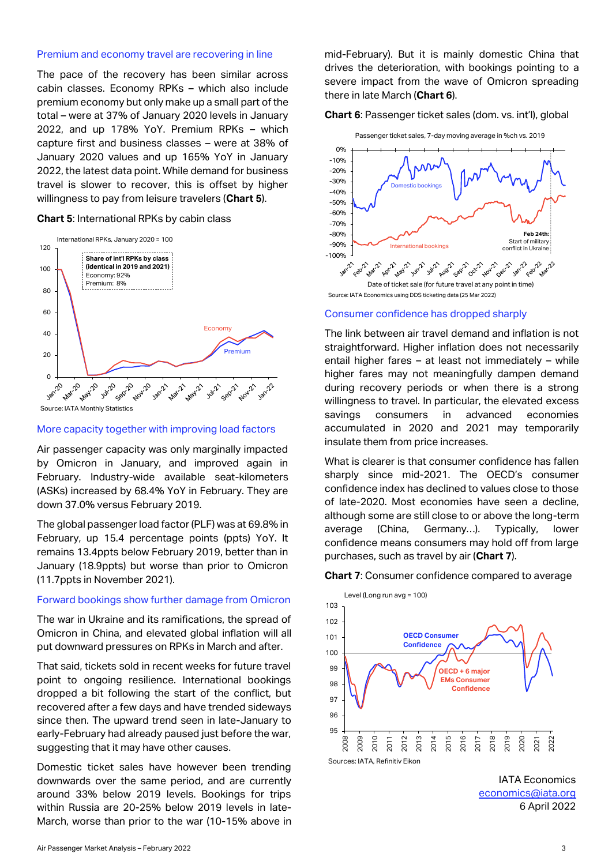#### Premium and economy travel are recovering in line

The pace of the recovery has been similar across cabin classes. Economy RPKs – which also include premium economy but only make up a small part of the total – were at 37% of January 2020 levels in January 2022, and up 178% YoY. Premium RPKs – which capture first and business classes – were at 38% of January 2020 values and up 165% YoY in January 2022, the latest data point. While demand for business travel is slower to recover, this is offset by higher willingness to pay from leisure travelers (**Chart 5**).

#### **Chart 5**: International RPKs by cabin class



#### More capacity together with improving load factors

Air passenger capacity was only marginally impacted by Omicron in January, and improved again in February. Industry-wide available seat-kilometers (ASKs) increased by 68.4% YoY in February. They are down 37.0% versus February 2019.

The global passenger load factor (PLF) was at 69.8% in February, up 15.4 percentage points (ppts) YoY. It remains 13.4ppts below February 2019, better than in January (18.9ppts) but worse than prior to Omicron (11.7ppts in November 2021).

#### Forward bookings show further damage from Omicron

The war in Ukraine and its ramifications, the spread of Omicron in China, and elevated global inflation will all put downward pressures on RPKs in March and after.

That said, tickets sold in recent weeks for future travel point to ongoing resilience. International bookings dropped a bit following the start of the conflict, but recovered after a few days and have trended sideways since then. The upward trend seen in late-January to early-February had already paused just before the war, suggesting that it may have other causes.

Domestic ticket sales have however been trending downwards over the same period, and are currently around 33% below 2019 levels. Bookings for trips within Russia are 20-25% below 2019 levels in late-March, worse than prior to the war (10-15% above in mid-February). But it is mainly domestic China that drives the deterioration, with bookings pointing to a severe impact from the wave of Omicron spreading there in late March (**Chart 6**).

**Chart 6**: Passenger ticket sales (dom. vs. int'l), global



### Consumer confidence has dropped sharply

The link between air travel demand and inflation is not straightforward. Higher inflation does not necessarily entail higher fares – at least not immediately – while higher fares may not meaningfully dampen demand during recovery periods or when there is a strong willingness to travel. In particular, the elevated excess savings consumers in advanced economies accumulated in 2020 and 2021 may temporarily insulate them from price increases.

What is clearer is that consumer confidence has fallen sharply since mid-2021. The OECD's consumer confidence index has declined to values close to those of late-2020. Most economies have seen a decline, although some are still close to or above the long-term average (China, Germany…). Typically, lower confidence means consumers may hold off from large purchases, such as travel by air (**Chart 7**).

#### **Chart 7**: Consumer confidence compared to average



IATA Economics [economics@iata.org](mailto:economics@iata.org) 6 April 2022